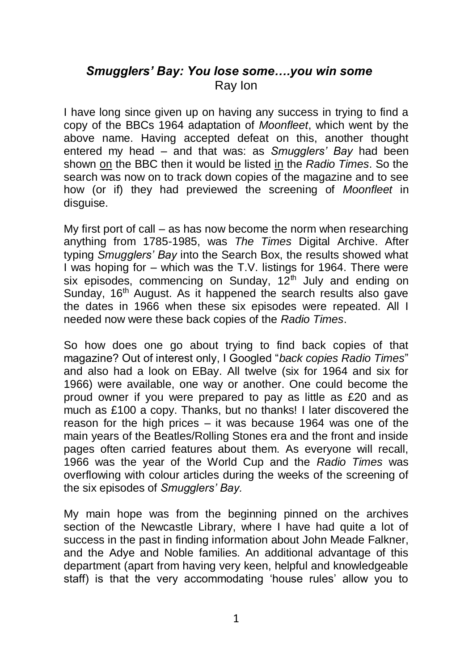## *Smugglers' Bay: You lose some….you win some* Ray Ion

I have long since given up on having any success in trying to find a copy of the BBCs 1964 adaptation of *Moonfleet*, which went by the above name. Having accepted defeat on this, another thought entered my head – and that was: as *Smugglers' Bay* had been shown on the BBC then it would be listed in the *Radio Times*. So the search was now on to track down copies of the magazine and to see how (or if) they had previewed the screening of *Moonfleet* in disguise.

My first port of call – as has now become the norm when researching anything from 1785-1985, was *The Times* Digital Archive. After typing *Smugglers' Bay* into the Search Box, the results showed what I was hoping for – which was the T.V. listings for 1964. There were six episodes, commencing on Sunday,  $12^{th}$  July and ending on Sunday, 16<sup>th</sup> August. As it happened the search results also gave the dates in 1966 when these six episodes were repeated. All I needed now were these back copies of the *Radio Times*.

So how does one go about trying to find back copies of that magazine? Out of interest only, I Googled "*back copies Radio Times*" and also had a look on EBay. All twelve (six for 1964 and six for 1966) were available, one way or another. One could become the proud owner if you were prepared to pay as little as £20 and as much as £100 a copy. Thanks, but no thanks! I later discovered the reason for the high prices – it was because 1964 was one of the main years of the Beatles/Rolling Stones era and the front and inside pages often carried features about them. As everyone will recall, 1966 was the year of the World Cup and the *Radio Times* was overflowing with colour articles during the weeks of the screening of the six episodes of *Smugglers' Bay.*

My main hope was from the beginning pinned on the archives section of the Newcastle Library, where I have had quite a lot of success in the past in finding information about John Meade Falkner, and the Adye and Noble families. An additional advantage of this department (apart from having very keen, helpful and knowledgeable staff) is that the very accommodating 'house rules' allow you to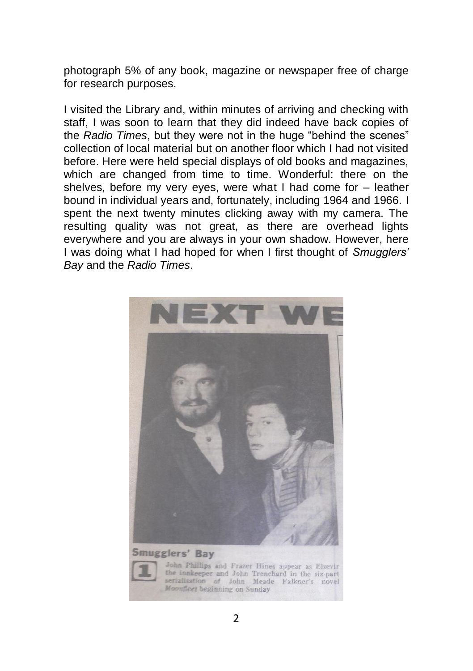photograph 5% of any book, magazine or newspaper free of charge for research purposes.

I visited the Library and, within minutes of arriving and checking with staff, I was soon to learn that they did indeed have back copies of the *Radio Times*, but they were not in the huge "behind the scenes" collection of local material but on another floor which I had not visited before. Here were held special displays of old books and magazines, which are changed from time to time. Wonderful: there on the shelves, before my very eyes, were what I had come for – leather bound in individual years and, fortunately, including 1964 and 1966. I spent the next twenty minutes clicking away with my camera. The resulting quality was not great, as there are overhead lights everywhere and you are always in your own shadow. However, here I was doing what I had hoped for when I first thought of *Smugglers' Bay* and the *Radio Times*.

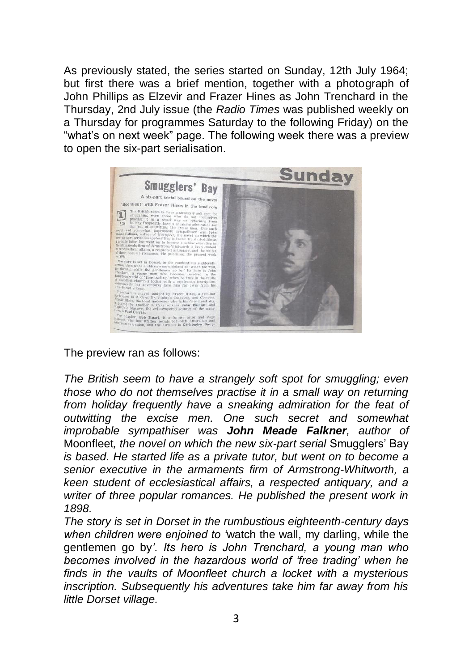As previously stated, the series started on Sunday, 12th July 1964; but first there was a brief mention, together with a photograph of John Phillips as Elzevir and Frazer Hines as John Trenchard in the Thursday, 2nd July issue (the *Radio Times* was published weekly on a Thursday for programmes Saturday to the following Friday) on the "what's on next week" page. The following week there was a preview to open the six-part serialisation.



The preview ran as follows:

*The British seem to have a strangely soft spot for smuggling; even those who do not themselves practise it in a small way on returning from holiday frequently have a sneaking admiration for the feat of outwitting the excise men. One such secret and somewhat improbable sympathiser was John Meade Falkner, author of*  Moonfleet*, the novel on which the new six-part serial* Smugglers' Bay *is based. He started life as a private tutor, but went on to become a senior executive in the armaments firm of Armstrong-Whitworth, a keen student of ecclesiastical affairs, a respected antiquary, and a writer of three popular romances. He published the present work in 1898.*

*The story is set in Dorset in the rumbustious eighteenth-century days when children were enjoined to '*watch the wall, my darling, while the gentlemen go by*'. Its hero is John Trenchard, a young man who becomes involved in the hazardous world of 'free trading' when he finds in the vaults of Moonfleet church a locket with a mysterious inscription. Subsequently his adventures take him far away from his little Dorset village.*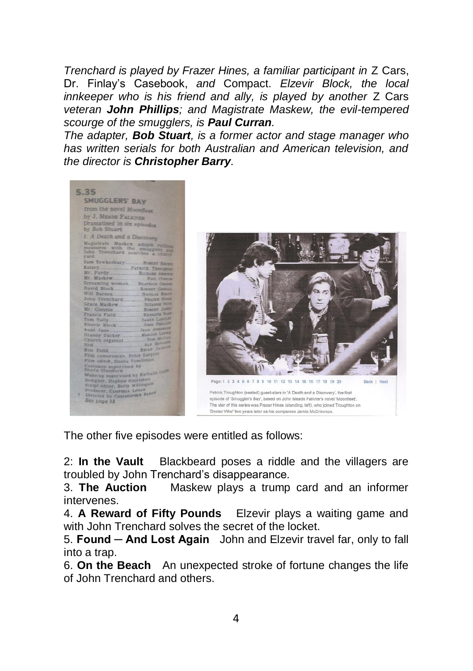*Trenchard is played by Frazer Hines, a familiar participant in* Z Cars, Dr. Finlay's Casebook, *and* Compact. *Elzevir Block, the local innkeeper who is his friend and ally, is played by another Z Cars veteran John Phillips; and Magistrate Maskew, the evil-tempered scourge of the smugglers, is Paul Curran.*

*The adapter, Bob Stuart, is a former actor and stage manager who has written serials for both Australian and American television, and the director is Christopher Barry.*

|   | 5.35                                                                         |
|---|------------------------------------------------------------------------------|
|   |                                                                              |
|   | SMUGGLERS' BAY                                                               |
|   | from the novel Moonfless                                                     |
|   | by J. MEADE FALKNER                                                          |
|   | Dramatised in six episoder<br>by Bob Stuart                                  |
|   | 1: A Death and a Discovery                                                   |
|   | Magistrate Maskew adopts ruthing<br>John Trenchard searches a chan-<br>vard. |
|   | Sam Tewkesbury Rosear Bares                                                  |
|   | Ratsey PATRICK TROCKERS                                                      |
|   |                                                                              |
|   |                                                                              |
|   | Screaming woman Brayance Canus                                               |
|   | David Block Rower Gones                                                      |
|   |                                                                              |
|   | John Trenchard FRAILE House                                                  |
|   |                                                                              |
|   |                                                                              |
|   |                                                                              |
|   |                                                                              |
|   |                                                                              |
|   |                                                                              |
|   | Granny Tucker. Mancer Lama                                                   |
|   |                                                                              |
|   | ALF ERNARD<br>Ned                                                            |
|   | Ben Field BRIAN Jackson                                                      |
|   | Film cameraman, Peter Sargent                                                |
|   | Film editor, Sheila Tomlinson                                                |
|   | Costumes supervised by<br>Sheila Glassford                                   |
|   | Make-up supervised by Nathalle Calls                                         |
|   | Designer, Daphne Shortman                                                    |
|   | Script editor, Betty Willingale                                              |
|   | Producer, Campaul Louan                                                      |
| ٠ | Directed by CHRISTOPHER BARRY                                                |
|   | See page 13                                                                  |



The other five episodes were entitled as follows:

2: **In the Vault** Blackbeard poses a riddle and the villagers are troubled by John Trenchard's disappearance.

3. **The Auction** Maskew plays a trump card and an informer intervenes.

4. **A Reward of Fifty Pounds** Elzevir plays a waiting game and with John Trenchard solves the secret of the locket.

5. **Found ─ And Lost Again** John and Elzevir travel far, only to fall into a trap.

6. **On the Beach** An unexpected stroke of fortune changes the life of John Trenchard and others.